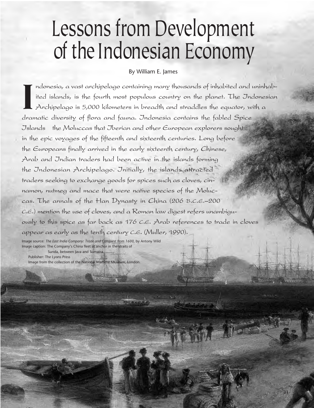# Lessons from Development of the Indonesian Economy

#### By William E. James

**I** ndonesia, a vast archipelago containing many thousands of inhabited and uninhabited islands, is the fourth most populous country on the planet. The Indonesian Archipelago is 5,000 kilometers in breadth and straddles the equator, with a dramatic diversity of flora and fauna. Indonesia contains the fabled Spice Islands· the Moluccas that Iberian and other European explorers sought in the epic voyages of the fifteenth and sixteenth centuries. Long before the Europeans finally arrived in the early sixteenth century, Chinese, Arab and Indian traders had been active in the islands forming the Indonesian Archipelago. Initially, the islands attracted traders seeking to exchange goods for spices such as cloves, cinnamon, nutmeg and mace that were native species of the Moluccas. The annals of the Han Dynasty in China (206 B.C.E.–200 C.E.) mention the use of cloves, and a Roman law digest refers unambiguously to this spice as far back as 176 C.E. Arab references to trade in cloves appear as early as the tenth century C.E. (Muller, 1990).

31

Image source: *The East India Company: Trade and Conquest from 1600*, by Antony Wild Image caption: The Company's China fleet at anchor in the straits of Sunda, between Java and Sumatra.

Publisher: The Lyons Press Image from the collection of the National Martime Museum, London.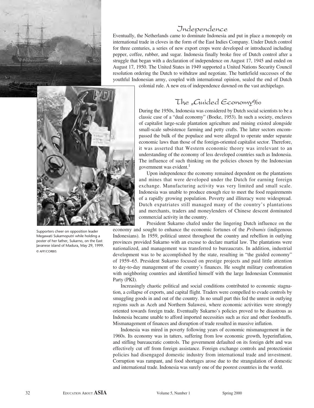

# Independence

Eventually, the Netherlands came to dominate Indonesia and put in place a monopoly on international trade in cloves in the form of the East Indies Company. Under Dutch control for three centuries, a series of new export crops were developed or introduced including pepper, coffee, rubber, and sugar. Indonesia finally broke free of Dutch control after a struggle that began with a declaration of independence on August 17, 1945 and ended on August 17, 1950. The United States in 1949 supported a United Nations Security Council resolution ordering the Dutch to withdraw and negotiate. The battlefield successes of the youthful Indonesian army, coupled with international opinion, sealed the end of Dutch

colonial rule. A new era of independence dawned on the vast archipelago.



Supporters cheer on opposition leader Megawati Sukarnoputri while holding a poster of her father, Sukarno, on the East Javanese island of Madura, May 29, 1999. © AFP/CORBIS

# The "Guided Economy‰

During the 1950s, Indonesia was considered by Dutch social scientists to be a classic case of a "dual economy" (Boeke, 1953). In such a society, enclaves of capitalist large-scale plantation agriculture and mining existed alongside small-scale subsistence farming and petty crafts. The latter sectors encompassed the bulk of the populace and were alleged to operate under separate economic laws than those of the foreign-oriented capitalist sector. Therefore, it was asserted that Western economic theory was irrelevant to an understanding of the economy of less developed countries such as Indonesia. The influence of such thinking on the policies chosen by the Indonesian government was evident.<sup>1</sup>

Upon independence the economy remained dependent on the plantations and mines that were developed under the Dutch for earning foreign exchange. Manufacturing activity was very limited and small scale. Indonesia was unable to produce enough rice to meet the food requirements of a rapidly growing population. Poverty and illiteracy were widespread. Dutch expatriates still managed many of the country's plantations and merchants, traders and moneylenders of Chinese descent dominated commercial activity in the country.

President Sukarno chafed under the lingering Dutch influence on the economy and sought to enhance the economic fortunes of the *Pribumis* (indigenous Indonesians). In 1959, political unrest throughout the country and rebellion in outlying provinces provided Sukarno with an excuse to declare martial law. The plantations were nationalized, and management was transferred to bureaucrats. In addition, industrial development was to be accomplished by the state, resulting in "the guided economy" of 1959–65. President Sukarno focused on prestige projects and paid little attention to day-to-day management of the country's finances. He sought military confrontation with neighboring countries and identified himself with the large Indonesian Communist Party (PKI).

Increasingly chaotic political and social conditions contributed to economic stagnation, a collapse of exports, and capital flight. Traders were compelled to evade controls by smuggling goods in and out of the country. In no small part this fed the unrest in outlying regions such as Aceh and Northern Sulawesi, where economic activities were strongly oriented towards foreign trade. Eventually Sukarno's policies proved to be disastrous as Indonesia became unable to afford imported necessities such as rice and other foodstuffs. Mismanagement of finances and disruption of trade resulted in massive inflation.

Indonesia was mired in poverty following years of economic mismanagement in the 1960s. Its economy was in tatters, suffering from low economic growth, hyperinflation, and stifling bureaucratic controls. The government defaulted on its foreign debt and was effectively cut off from foreign assistance. Foreign exchange controls and protectionist policies had disengaged domestic industry from international trade and investment. Corruption was rampant, and food shortages arose due to the strangulation of domestic and international trade. Indonesia was surely one of the poorest countries in the world.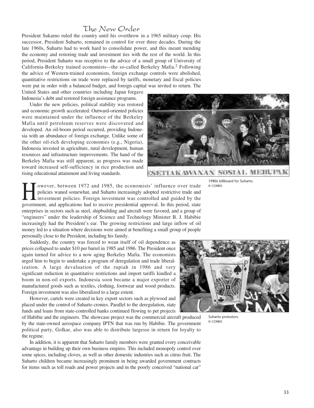## The New Order

President Sukarno ruled the country until his overthrow in a 1965 military coup. His successor, President Suharto, remained in control for over three decades. During the late 1960s, Suharto had to work hard to consolidate power, and this meant mending the economy and restoring trade and investment ties with the rest of the world. In this period, President Suharto was receptive to the advice of a small group of University of California-Berkeley trained economists—the so-called Berkeley Mafia.<sup>2</sup> Following the advice of Western-trained economists, foreign exchange controls were abolished, quantitative restrictions on trade were replaced by tariffs, monetary and fiscal policies were put in order with a balanced budget, and foreign capital was invited to return. The

United States and other countries including Japan forgave Indonesia's debt and restored foreign assistance programs.

Under the new policies, political stability was restored and economic growth accelerated. Outward-oriented policies were maintained under the influence of the Berkeley Mafia until petroleum reserves were discovered and developed. An oil-boom period occurred, providing Indonesia with an abundance of foreign exchange. Unlike some of the other oil-rich developing economies (e.g., Nigeria), Indonesia invested in agriculture, rural development, human resources and infrastructure improvements. The hand of the Berkeley Mafia was still apparent, as progress was made toward increased self-sufficiency in rice production and rising educational attainment and living standards.



1980s billboard for Suharto. © CORBIS

owever, between 1972 and 1985, the economists' influence over trade policies waned somewhat, and Suharto increasingly adopted restrictive trade and investment policies. Foreign investment was controlled and guided by the government, and applications had to receive presidential approval. In this period, state enterprises in sectors such as steel, shipbuilding and aircraft were favored, and a group of "engineers" under the leadership of Science and Technology Minister B. J. Habibie increasingly had the President's ear. The growing restrictions and large inflow of oil money led to a situation where decisions were aimed at benefiting a small group of people personally close to the President, including his family.

Suddenly, the country was forced to wean itself of oil dependence as prices collapsed to under \$10 per barrel in 1985 and 1986. The President once again turned for advice to a now aging Berkeley Mafia. The economists urged him to begin to undertake a program of deregulation and trade liberalization. A large devaluation of the rupiah in 1986 and very significant reduction in quantitative restrictions and import tariffs kindled a boom in non-oil exports. Indonesia soon became a major exporter of manufactured goods such as textiles, clothing, footwear and wood products. Foreign investment was also liberalized to a large extent.

However, cartels were created in key export sectors such as plywood and placed under the control of Suharto cronies. Parallel to the deregulation, state funds and loans from state-controlled banks continued flowing to pet projects

of Habibie and the engineers. The showcase project was the commercial aircraft produced by the state-owned aerospace company IPTN that was run by Habibie. The government political party, Golkar, also was able to distribute largesse in return for loyalty to the regime.

In addition, it is apparent that Suharto family members were granted every conceivable advantage in building up their own business empires. This included monopoly control over some spices, including cloves, as well as other domestic industries such as citrus fruit. The Suharto children became increasingly prominent in being awarded government contracts for items such as toll roads and power projects and in the poorly conceived "national car"



Suharto protestors. © CORBIS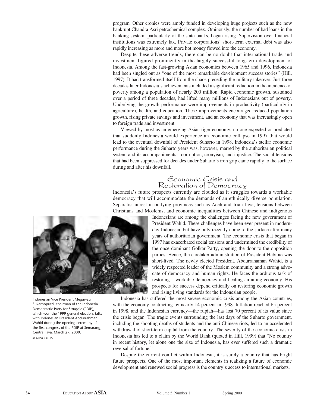program. Other cronies were amply funded in developing huge projects such as the now bankrupt Chandra Asri petrochemical complex. Ominously, the number of bad loans in the banking system, particularly of the state banks, began rising. Supervision over financial institutions was extremely lax. Private corporations' short-term external debt was also rapidly increasing as more and more hot money flowed into the economy.

Despite these adverse trends, there can be no doubt that international trade and investment figured prominently in the largely successful long-term development of Indonesia. Among the fast-growing Asian economies between 1965 and 1996, Indonesia had been singled out as "one of the most remarkable development success stories" (Hill, 1997). It had transformed itself from the chaos preceding the military takeover. Just three decades later Indonesia's achievements included a significant reduction in the incidence of poverty among a population of nearly 200 million. Rapid economic growth, sustained over a period of three decades, had lifted many millions of Indonesians out of poverty. Underlying the growth performance were improvements in productivity (particularly in agriculture), health, and education. These improvements encouraged reduced population growth, rising private savings and investment, and an economy that was increasingly open to foreign trade and investment.

Viewed by most as an emerging Asian tiger economy, no one expected or predicted that suddenly Indonesia would experience an economic collapse in 1997 that would lead to the eventual downfall of President Suharto in 1998. Indonesia's stellar economic performance during the Suharto years was, however, marred by the authoritarian political system and its accompaniments—corruption, cronyism, and injustice. The social tensions that had been suppressed for decades under Suharto's iron grip came rapidly to the surface during and after his downfall.

## Economic Crisis and Restoration of Democracy

Indonesia's future prospects currently are clouded as it struggles towards a workable democracy that will accommodate the demands of an ethnically diverse population. Separatist unrest in outlying provinces such as Aceh and Irian Jaya, tensions between Christians and Moslems, and economic inequalities between Chinese and indigenous



Indonesian Vice President Megawati Sukarnoputri, chairman of the Indonesia Democractic Party for Struggle (PDIP), which won the 1999 general election, talks with Indonesian President Abdurrahman Wahid during the opening ceremony of the first congress of the PDIP at Semarang, Central Java, March 27, 2000. © AFP/CORBIS

Indonesians are among the challenges facing the new government of President Wahid. These challenges have been ever present in modernday Indonesia, but have only recently come to the surface after many years of authoritarian government. The economic crisis that began in 1997 has exacerbated social tensions and undermined the credibility of the once dominant Golkar Party, opening the door to the opposition parties. Hence, the caretaker administration of President Habibie was short-lived. The newly elected President, Abdurrahaman Wahid, is a widely respected leader of the Moslem community and a strong advocate of democracy and human rights. He faces the arduous task of restoring a workable democracy and healing an ailing economy. His prospects for success depend critically on restoring economic growth and rising living standards for the Indonesian people.

Indonesia has suffered the most severe economic crisis among the Asian countries, with the economy contracting by nearly 14 percent in 1998. Inflation reached 65 percent in 1998, and the Indonesian currency—the rupiah—has lost 70 percent of its value since the crisis began. The tragic events surrounding the last days of the Suharto government, including the shooting deaths of students and the anti-Chinese riots, led to an accelerated withdrawal of short-term capital from the country. The severity of the economic crisis in Indonesia has led to a claim by the World Bank (quoted in Hill, 1999) that "No country in recent history, let alone one the size of Indonesia, has ever suffered such a dramatic reversal of fortune."

Despite the current conflict within Indonesia, it is surely a country that has bright future prospects. One of the most important elements in realizing a future of economic development and renewed social progress is the country's access to international markets.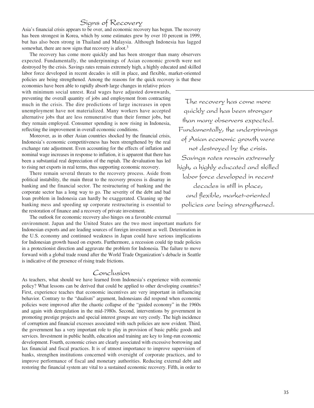# Signs of Recovery

Asia's financial crisis appears to be over, and economic recovery has begun. The recovery has been strongest in Korea, which by some estimates grew by over 10 percent in 1999, but has also been strong in Thailand and Malaysia. Although Indonesia has lagged somewhat, there are now signs that recovery is afoot.<sup>3</sup>

The recovery has come more quickly and has been stronger than many observers expected. Fundamentally, the underpinnings of Asian economic growth were not destroyed by the crisis. Savings rates remain extremely high, a highly educated and skilled labor force developed in recent decades is still in place, and flexible, market-oriented policies are being strengthened. Among the reasons for the quick recovery is that these

economies have been able to rapidly absorb large changes in relative prices with minimum social unrest. Real wages have adjusted downwards, preventing the overall quantity of jobs and employment from contracting much in the crisis. The dire predictions of large increases in open unemployment have not materialized. Many workers have accepted alternative jobs that are less remunerative than their former jobs, but they remain employed. Consumer spending is now rising in Indonesia, reflecting the improvement in overall economic conditions.

Moreover, as in other Asian countries shocked by the financial crisis, Indonesia's economic competitiveness has been strengthened by the real exchange rate adjustment. Even accounting for the effects of inflation and nominal wage increases in response to inflation, it is apparent that there has been a substantial real depreciation of the rupiah. The devaluation has led to rising net exports in real terms, thus supporting economic recovery.

There remain several threats to the recovery process. Aside from political instability, the main threat to the recovery process is disarray in banking and the financial sector. The restructuring of banking and the corporate sector has a long way to go. The severity of the debt and bad loan problem in Indonesia can hardly be exaggerated. Cleaning up the banking mess and speeding up corporate restructuring is essential to the restoration of finance and a recovery of private investment.

The outlook for economic recovery also hinges on a favorable external

environment. Japan and the United States are the two most important markets for Indonesian exports and are leading sources of foreign investment as well. Deterioration in the U.S. economy and continued weakness in Japan could have serious implications for Indonesian growth based on exports. Furthermore, a recession could tip trade policies in a protectionist direction and aggravate the problem for Indonesia. The failure to move forward with a global trade round after the World Trade Organization's debacle in Seattle is indicative of the presence of rising trade frictions.

### Conclusion

As teachers, what should we have learned from Indonesia's experience with economic policy? What lessons can be derived that could be applied to other developing countries? First, experience teaches that economic incentives are very important in influencing behavior. Contrary to the "dualism" argument, Indonesians did respond when economic policies were improved after the chaotic collapse of the "guided economy" in the 1960s and again with deregulation in the mid-1980s. Second, interventions by government in promoting prestige projects and special interest groups are very costly. The high incidence of corruption and financial excesses associated with such policies are now evident. Third, the government has a very important role to play in provision of basic public goods and services. Investment in public health, education and training are key to long-run economic development. Fourth, economic crises are clearly associated with excessive borrowing and lax financial and fiscal practices. It is of utmost importance to improve supervision of banks, strengthen institutions concerned with oversight of corporate practices, and to improve performance of fiscal and monetary authorities. Reducing external debt and restoring the financial system are vital to a sustained economic recovery. Fifth, in order to

The recovery has come more quickly and has been stronger than many observers expected. Fundamentally, the underpinnings of Asian economic growth were not destroyed by the crisis. Savings rates remain extremely high, a highly educated and skilled labor force developed in recent decades is still in place, and flexible, market-oriented policies are being strengthened.